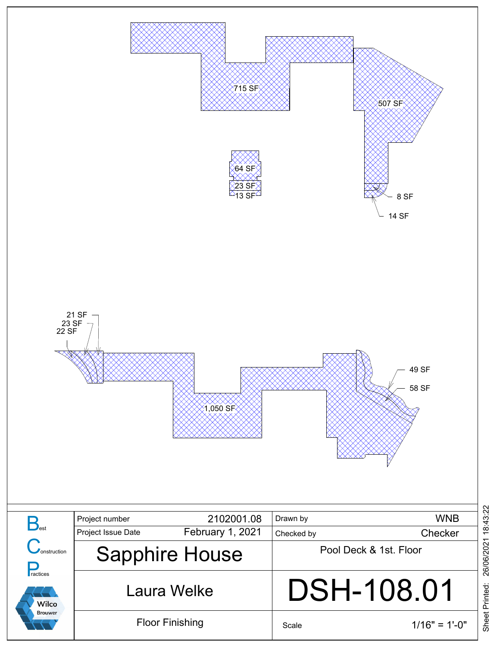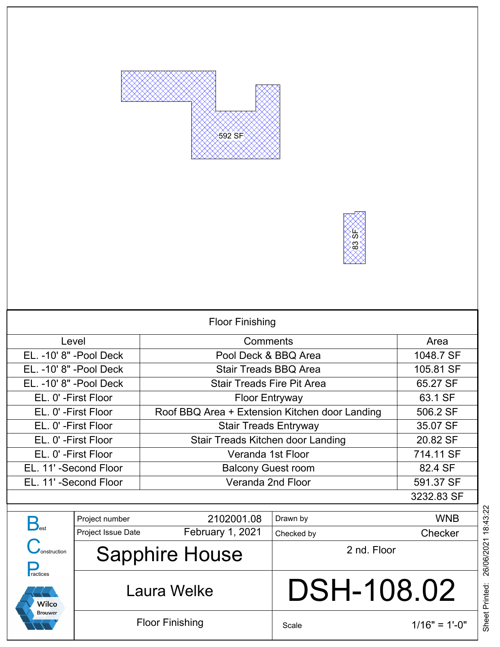



| <b>Floor Finishing</b>   |                       |                                                |             |            |
|--------------------------|-----------------------|------------------------------------------------|-------------|------------|
| Level                    |                       | Comments                                       |             | Area       |
| EL. -10' 8" -Pool Deck   |                       | Pool Deck & BBQ Area                           |             | 1048.7 SF  |
| EL. - 10' 8" - Pool Deck |                       | <b>Stair Treads BBQ Area</b>                   |             | 105.81 SF  |
| EL. -10' 8" -Pool Deck   |                       | <b>Stair Treads Fire Pit Area</b>              |             | 65.27 SF   |
| EL. 0' - First Floor     |                       | <b>Floor Entryway</b>                          |             | 63.1 SF    |
| EL. 0' - First Floor     |                       | Roof BBQ Area + Extension Kitchen door Landing |             | 506.2 SF   |
| EL. 0' - First Floor     |                       | <b>Stair Treads Entryway</b>                   |             | 35.07 SF   |
| EL. 0' - First Floor     |                       | Stair Treads Kitchen door Landing              |             | 20.82 SF   |
| EL. 0' - First Floor     |                       | Veranda 1st Floor                              |             | 714.11 SF  |
| EL. 11'-Second Floor     |                       | <b>Balcony Guest room</b>                      |             | 82.4 SF    |
| EL. 11'-Second Floor     |                       | Veranda 2nd Floor                              |             | 591.37 SF  |
| 3232.83 SF               |                       |                                                |             |            |
|                          |                       | 2102001.08                                     |             | <b>WNB</b> |
| $B_{\text{est}}$         | Project number        |                                                | Drawn by    |            |
|                          | Project Issue Date    | February 1, 2021                               | Checked by  | Checker    |
| nstruction               | <b>Sapphire House</b> |                                                | 2 nd. Floor |            |

Laura Welke

Floor Finishing

**P**<br>ractices

**Wilco Brouwer** 

## DSH-108.02

Scale